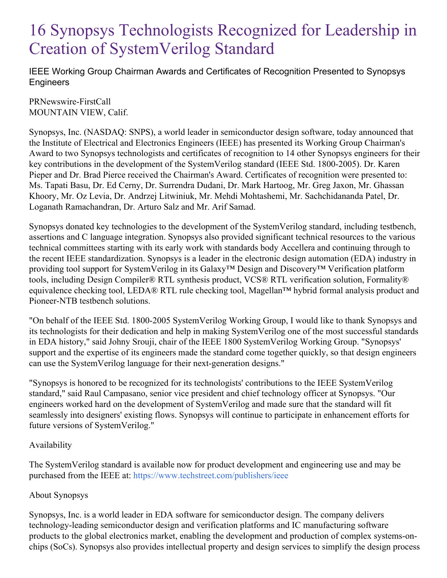## 16 Synopsys Technologists Recognized for Leadership in Creation of SystemVerilog Standard

IEEE Working Group Chairman Awards and Certificates of Recognition Presented to Synopsys **Engineers** 

PRNewswire-FirstCall MOUNTAIN VIEW, Calif.

Synopsys, Inc. (NASDAQ: SNPS), a world leader in semiconductor design software, today announced that the Institute of Electrical and Electronics Engineers (IEEE) has presented its Working Group Chairman's Award to two Synopsys technologists and certificates of recognition to 14 other Synopsys engineers for their key contributions in the development of the SystemVerilog standard (IEEE Std. 1800-2005). Dr. Karen Pieper and Dr. Brad Pierce received the Chairman's Award. Certificates of recognition were presented to: Ms. Tapati Basu, Dr. Ed Cerny, Dr. Surrendra Dudani, Dr. Mark Hartoog, Mr. Greg Jaxon, Mr. Ghassan Khoory, Mr. Oz Levia, Dr. Andrzej Litwiniuk, Mr. Mehdi Mohtashemi, Mr. Sachchidananda Patel, Dr. Loganath Ramachandran, Dr. Arturo Salz and Mr. Arif Samad.

Synopsys donated key technologies to the development of the SystemVerilog standard, including testbench, assertions and C language integration. Synopsys also provided significant technical resources to the various technical committees starting with its early work with standards body Accellera and continuing through to the recent IEEE standardization. Synopsys is a leader in the electronic design automation (EDA) industry in providing tool support for SystemVerilog in its Galaxy™ Design and Discovery™ Verification platform tools, including Design Compiler® RTL synthesis product, VCS® RTL verification solution, Formality® equivalence checking tool, LEDA® RTL rule checking tool, Magellan™ hybrid formal analysis product and Pioneer-NTB testbench solutions.

"On behalf of the IEEE Std. 1800-2005 SystemVerilog Working Group, I would like to thank Synopsys and its technologists for their dedication and help in making SystemVerilog one of the most successful standards in EDA history," said Johny Srouji, chair of the IEEE 1800 SystemVerilog Working Group. "Synopsys' support and the expertise of its engineers made the standard come together quickly, so that design engineers can use the SystemVerilog language for their next-generation designs."

"Synopsys is honored to be recognized for its technologists' contributions to the IEEE SystemVerilog standard," said Raul Campasano, senior vice president and chief technology officer at Synopsys. "Our engineers worked hard on the development of SystemVerilog and made sure that the standard will fit seamlessly into designers' existing flows. Synopsys will continue to participate in enhancement efforts for future versions of SystemVerilog."

## Availability

The SystemVerilog standard is available now for product development and engineering use and may be purchased from the IEEE at: <https://www.techstreet.com/publishers/ieee>

## About Synopsys

Synopsys, Inc. is a world leader in EDA software for semiconductor design. The company delivers technology-leading semiconductor design and verification platforms and IC manufacturing software products to the global electronics market, enabling the development and production of complex systems-onchips (SoCs). Synopsys also provides intellectual property and design services to simplify the design process